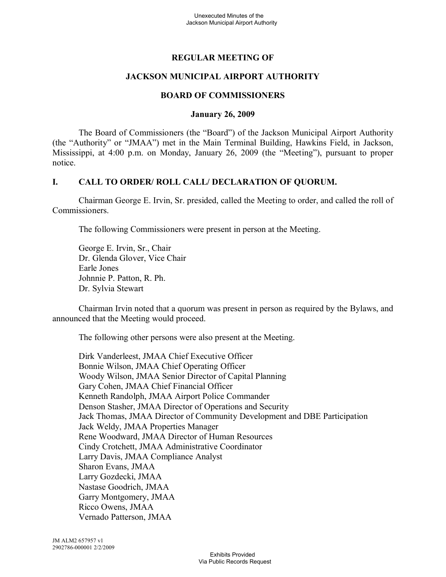## **REGULAR MEETING OF**

## **JACKSON MUNICIPAL AIRPORT AUTHORITY**

#### **BOARD OF COMMISSIONERS**

#### **January 26, 2009**

The Board of Commissioners (the "Board") of the Jackson Municipal Airport Authority (the "Authority" or "JMAA") met in the Main Terminal Building, Hawkins Field, in Jackson, Mississippi, at 4:00 p.m. on Monday, January 26, 2009 (the "Meeting"), pursuant to proper notice.

### **I. CALL TO ORDER/ ROLL CALL/ DECLARATION OF QUORUM.**

Chairman George E. Irvin, Sr. presided, called the Meeting to order, and called the roll of Commissioners.

The following Commissioners were present in person at the Meeting.

George E. Irvin, Sr., Chair Dr. Glenda Glover, Vice Chair Earle Jones Johnnie P. Patton, R. Ph. Dr. Sylvia Stewart

Chairman Irvin noted that a quorum was present in person as required by the Bylaws, and announced that the Meeting would proceed.

The following other persons were also present at the Meeting.

Dirk Vanderleest, JMAA Chief Executive Officer Bonnie Wilson, JMAA Chief Operating Officer Woody Wilson, JMAA Senior Director of Capital Planning Gary Cohen, JMAA Chief Financial Officer Kenneth Randolph, JMAA Airport Police Commander Denson Stasher, JMAA Director of Operations and Security Jack Thomas, JMAA Director of Community Development and DBE Participation Jack Weldy, JMAA Properties Manager Rene Woodward, JMAA Director of Human Resources Cindy Crotchett, JMAA Administrative Coordinator Larry Davis, JMAA Compliance Analyst Sharon Evans, JMAA Larry Gozdecki, JMAA Nastase Goodrich, JMAA Garry Montgomery, JMAA Ricco Owens, JMAA Vernado Patterson, JMAA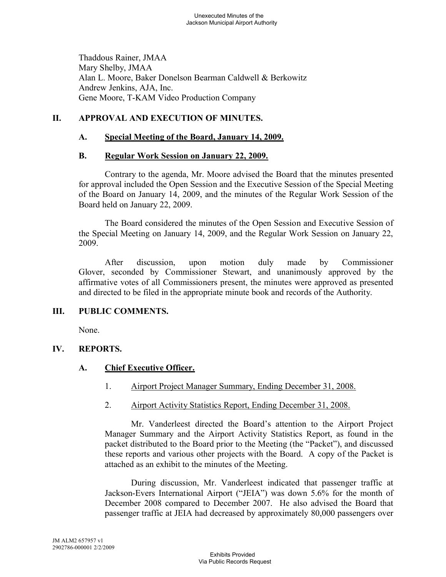Thaddous Rainer, JMAA Mary Shelby, JMAA Alan L. Moore, Baker Donelson Bearman Caldwell & Berkowitz Andrew Jenkins, AJA, Inc. Gene Moore, T-KAM Video Production Company

# **II. APPROVAL AND EXECUTION OF MINUTES.**

## **A. Special Meeting of the Board, January 14, 2009.**

## **B. Regular Work Session on January 22, 2009.**

Contrary to the agenda, Mr. Moore advised the Board that the minutes presented for approval included the Open Session and the Executive Session of the Special Meeting of the Board on January 14, 2009, and the minutes of the Regular Work Session of the Board held on January 22, 2009.

The Board considered the minutes of the Open Session and Executive Session of the Special Meeting on January 14, 2009, and the Regular Work Session on January 22, 2009.

After discussion, upon motion duly made by Commissioner Glover, seconded by Commissioner Stewart, and unanimously approved by the affirmative votes of all Commissioners present, the minutes were approved as presented and directed to be filed in the appropriate minute book and records of the Authority.

## **III. PUBLIC COMMENTS.**

None.

## **IV. REPORTS.**

## **A. Chief Executive Officer.**

- 1. Airport Project Manager Summary, Ending December 31, 2008.
- 2. Airport Activity Statistics Report, Ending December 31, 2008.

Mr. Vanderleest directed the Board's attention to the Airport Project Manager Summary and the Airport Activity Statistics Report, as found in the packet distributed to the Board prior to the Meeting (the "Packet"), and discussed these reports and various other projects with the Board. A copy of the Packet is attached as an exhibit to the minutes of the Meeting.

During discussion, Mr. Vanderleest indicated that passenger traffic at Jackson-Evers International Airport ("JEIA") was down 5.6% for the month of December 2008 compared to December 2007. He also advised the Board that passenger traffic at JEIA had decreased by approximately 80,000 passengers over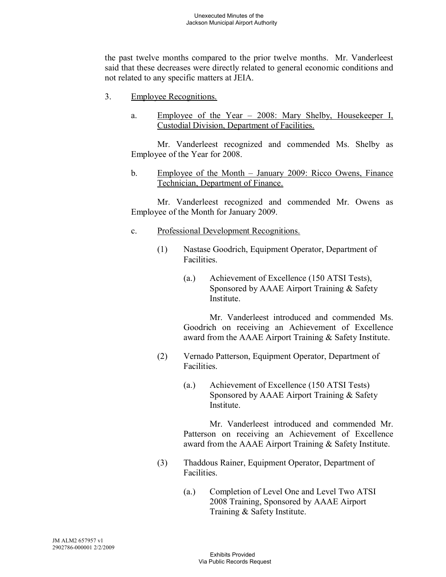the past twelve months compared to the prior twelve months. Mr. Vanderleest said that these decreases were directly related to general economic conditions and not related to any specific matters at JEIA.

- 3. Employee Recognitions.
	- a. Employee of the Year 2008: Mary Shelby, Housekeeper I, Custodial Division, Department of Facilities.

Mr. Vanderleest recognized and commended Ms. Shelby as Employee of the Year for 2008.

b. Employee of the Month – January 2009: Ricco Owens, Finance Technician, Department of Finance.

Mr. Vanderleest recognized and commended Mr. Owens as Employee of the Month for January 2009.

- c. Professional Development Recognitions.
	- (1) Nastase Goodrich, Equipment Operator, Department of Facilities.
		- (a.) Achievement of Excellence (150 ATSI Tests), Sponsored by AAAE Airport Training & Safety Institute.

Mr. Vanderleest introduced and commended Ms. Goodrich on receiving an Achievement of Excellence award from the AAAE Airport Training & Safety Institute.

- (2) Vernado Patterson, Equipment Operator, Department of Facilities.
	- (a.) Achievement of Excellence (150 ATSI Tests) Sponsored by AAAE Airport Training & Safety Institute.

Mr. Vanderleest introduced and commended Mr. Patterson on receiving an Achievement of Excellence award from the AAAE Airport Training & Safety Institute.

- (3) Thaddous Rainer, Equipment Operator, Department of Facilities.
	- (a.) Completion of Level One and Level Two ATSI 2008 Training, Sponsored by AAAE Airport Training & Safety Institute.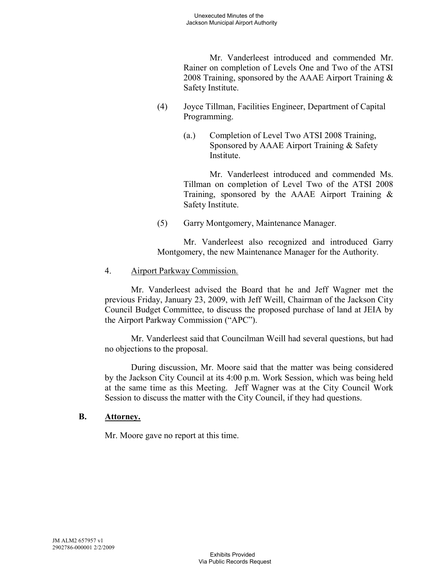Mr. Vanderleest introduced and commended Mr. Rainer on completion of Levels One and Two of the ATSI 2008 Training, sponsored by the AAAE Airport Training & Safety Institute.

- (4) Joyce Tillman, Facilities Engineer, Department of Capital Programming.
	- (a.) Completion of Level Two ATSI 2008 Training, Sponsored by AAAE Airport Training & Safety **Institute**

Mr. Vanderleest introduced and commended Ms. Tillman on completion of Level Two of the ATSI 2008 Training, sponsored by the AAAE Airport Training  $\&$ Safety Institute.

(5) Garry Montgomery, Maintenance Manager.

Mr. Vanderleest also recognized and introduced Garry Montgomery, the new Maintenance Manager for the Authority.

4. Airport Parkway Commission.

Mr. Vanderleest advised the Board that he and Jeff Wagner met the previous Friday, January 23, 2009, with Jeff Weill, Chairman of the Jackson City Council Budget Committee, to discuss the proposed purchase of land at JEIA by the Airport Parkway Commission ("APC").

Mr. Vanderleest said that Councilman Weill had several questions, but had no objections to the proposal.

During discussion, Mr. Moore said that the matter was being considered by the Jackson City Council at its 4:00 p.m. Work Session, which was being held at the same time as this Meeting. Jeff Wagner was at the City Council Work Session to discuss the matter with the City Council, if they had questions.

# **B. Attorney.**

Mr. Moore gave no report at this time.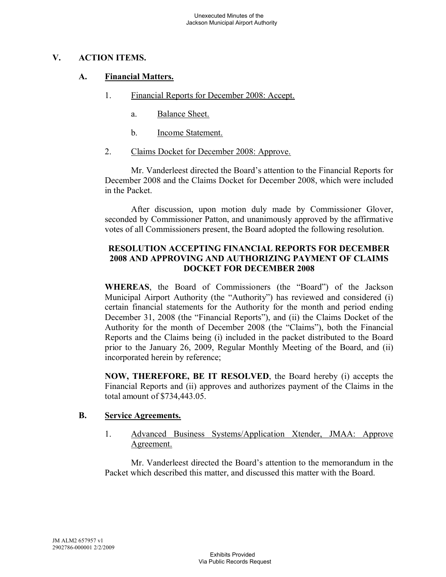## **V. ACTION ITEMS.**

### **A. Financial Matters.**

- 1. Financial Reports for December 2008: Accept.
	- a. Balance Sheet.
	- b. Income Statement.
- 2. Claims Docket for December 2008: Approve.

Mr. Vanderleest directed the Board's attention to the Financial Reports for December 2008 and the Claims Docket for December 2008, which were included in the Packet.

After discussion, upon motion duly made by Commissioner Glover, seconded by Commissioner Patton, and unanimously approved by the affirmative votes of all Commissioners present, the Board adopted the following resolution.

### **RESOLUTION ACCEPTING FINANCIAL REPORTS FOR DECEMBER 2008 AND APPROVING AND AUTHORIZING PAYMENT OF CLAIMS DOCKET FOR DECEMBER 2008**

**WHEREAS**, the Board of Commissioners (the "Board") of the Jackson Municipal Airport Authority (the "Authority") has reviewed and considered (i) certain financial statements for the Authority for the month and period ending December 31, 2008 (the "Financial Reports"), and (ii) the Claims Docket of the Authority for the month of December 2008 (the "Claims"), both the Financial Reports and the Claims being (i) included in the packet distributed to the Board prior to the January 26, 2009, Regular Monthly Meeting of the Board, and (ii) incorporated herein by reference;

**NOW, THEREFORE, BE IT RESOLVED**, the Board hereby (i) accepts the Financial Reports and (ii) approves and authorizes payment of the Claims in the total amount of \$734,443.05.

#### **B. Service Agreements.**

1. Advanced Business Systems/Application Xtender, JMAA: Approve Agreement.

Mr. Vanderleest directed the Board's attention to the memorandum in the Packet which described this matter, and discussed this matter with the Board.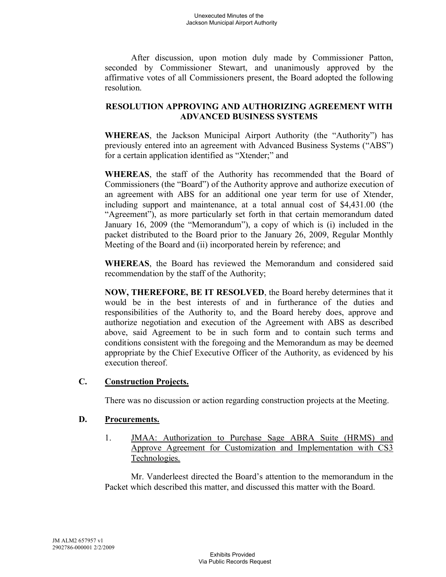After discussion, upon motion duly made by Commissioner Patton, seconded by Commissioner Stewart, and unanimously approved by the affirmative votes of all Commissioners present, the Board adopted the following resolution.

# **RESOLUTION APPROVING AND AUTHORIZING AGREEMENT WITH ADVANCED BUSINESS SYSTEMS**

**WHEREAS**, the Jackson Municipal Airport Authority (the "Authority") has previously entered into an agreement with Advanced Business Systems ("ABS") for a certain application identified as "Xtender;" and

**WHEREAS**, the staff of the Authority has recommended that the Board of Commissioners (the "Board") of the Authority approve and authorize execution of an agreement with ABS for an additional one year term for use of Xtender, including support and maintenance, at a total annual cost of \$4,431.00 (the "Agreement"), as more particularly set forth in that certain memorandum dated January 16, 2009 (the "Memorandum"), a copy of which is (i) included in the packet distributed to the Board prior to the January 26, 2009, Regular Monthly Meeting of the Board and (ii) incorporated herein by reference; and

**WHEREAS**, the Board has reviewed the Memorandum and considered said recommendation by the staff of the Authority;

**NOW, THEREFORE, BE IT RESOLVED**, the Board hereby determines that it would be in the best interests of and in furtherance of the duties and responsibilities of the Authority to, and the Board hereby does, approve and authorize negotiation and execution of the Agreement with ABS as described above, said Agreement to be in such form and to contain such terms and conditions consistent with the foregoing and the Memorandum as may be deemed appropriate by the Chief Executive Officer of the Authority, as evidenced by his execution thereof.

## **C. Construction Projects.**

There was no discussion or action regarding construction projects at the Meeting.

## **D. Procurements.**

1. JMAA: Authorization to Purchase Sage ABRA Suite (HRMS) and Approve Agreement for Customization and Implementation with CS3 Technologies.

Mr. Vanderleest directed the Board's attention to the memorandum in the Packet which described this matter, and discussed this matter with the Board.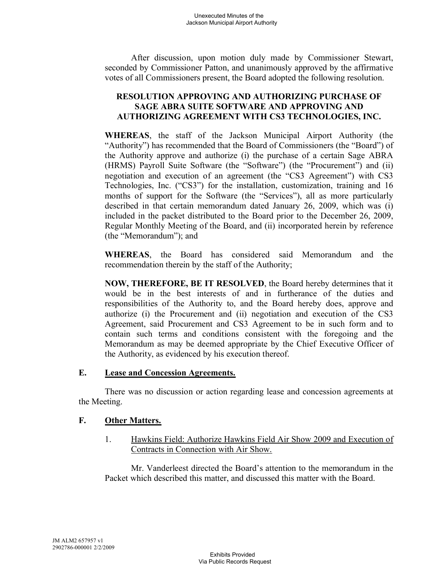After discussion, upon motion duly made by Commissioner Stewart, seconded by Commissioner Patton, and unanimously approved by the affirmative votes of all Commissioners present, the Board adopted the following resolution.

# **RESOLUTION APPROVING AND AUTHORIZING PURCHASE OF SAGE ABRA SUITE SOFTWARE AND APPROVING AND AUTHORIZING AGREEMENT WITH CS3 TECHNOLOGIES, INC.**

**WHEREAS**, the staff of the Jackson Municipal Airport Authority (the "Authority") has recommended that the Board of Commissioners (the "Board") of the Authority approve and authorize (i) the purchase of a certain Sage ABRA (HRMS) Payroll Suite Software (the "Software") (the "Procurement") and (ii) negotiation and execution of an agreement (the "CS3 Agreement") with CS3 Technologies, Inc. ("CS3") for the installation, customization, training and 16 months of support for the Software (the "Services"), all as more particularly described in that certain memorandum dated January 26, 2009, which was (i) included in the packet distributed to the Board prior to the December 26, 2009, Regular Monthly Meeting of the Board, and (ii) incorporated herein by reference (the "Memorandum"); and

**WHEREAS**, the Board has considered said Memorandum and the recommendation therein by the staff of the Authority;

**NOW, THEREFORE, BE IT RESOLVED**, the Board hereby determines that it would be in the best interests of and in furtherance of the duties and responsibilities of the Authority to, and the Board hereby does, approve and authorize (i) the Procurement and (ii) negotiation and execution of the CS3 Agreement, said Procurement and CS3 Agreement to be in such form and to contain such terms and conditions consistent with the foregoing and the Memorandum as may be deemed appropriate by the Chief Executive Officer of the Authority, as evidenced by his execution thereof.

### **E. Lease and Concession Agreements.**

There was no discussion or action regarding lease and concession agreements at the Meeting.

## **F. Other Matters.**

1. Hawkins Field: Authorize Hawkins Field Air Show 2009 and Execution of Contracts in Connection with Air Show.

Mr. Vanderleest directed the Board's attention to the memorandum in the Packet which described this matter, and discussed this matter with the Board.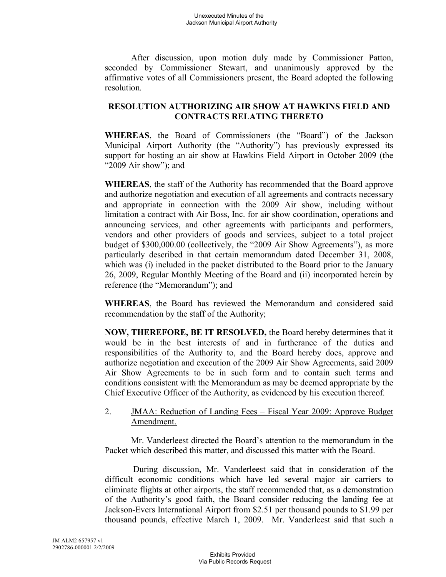After discussion, upon motion duly made by Commissioner Patton, seconded by Commissioner Stewart, and unanimously approved by the affirmative votes of all Commissioners present, the Board adopted the following resolution.

# **RESOLUTION AUTHORIZING AIR SHOW AT HAWKINS FIELD AND CONTRACTS RELATING THERETO**

**WHEREAS**, the Board of Commissioners (the "Board") of the Jackson Municipal Airport Authority (the "Authority") has previously expressed its support for hosting an air show at Hawkins Field Airport in October 2009 (the "2009 Air show"); and

**WHEREAS**, the staff of the Authority has recommended that the Board approve and authorize negotiation and execution of all agreements and contracts necessary and appropriate in connection with the 2009 Air show, including without limitation a contract with Air Boss, Inc. for air show coordination, operations and announcing services, and other agreements with participants and performers, vendors and other providers of goods and services, subject to a total project budget of \$300,000.00 (collectively, the "2009 Air Show Agreements"), as more particularly described in that certain memorandum dated December 31, 2008, which was (i) included in the packet distributed to the Board prior to the January 26, 2009, Regular Monthly Meeting of the Board and (ii) incorporated herein by reference (the "Memorandum"); and

**WHEREAS**, the Board has reviewed the Memorandum and considered said recommendation by the staff of the Authority;

**NOW, THEREFORE, BE IT RESOLVED,** the Board hereby determines that it would be in the best interests of and in furtherance of the duties and responsibilities of the Authority to, and the Board hereby does, approve and authorize negotiation and execution of the 2009 Air Show Agreements, said 2009 Air Show Agreements to be in such form and to contain such terms and conditions consistent with the Memorandum as may be deemed appropriate by the Chief Executive Officer of the Authority, as evidenced by his execution thereof.

## 2. JMAA: Reduction of Landing Fees – Fiscal Year 2009: Approve Budget Amendment.

Mr. Vanderleest directed the Board's attention to the memorandum in the Packet which described this matter, and discussed this matter with the Board.

During discussion, Mr. Vanderleest said that in consideration of the difficult economic conditions which have led several major air carriers to eliminate flights at other airports, the staff recommended that, as a demonstration of the Authority's good faith, the Board consider reducing the landing fee at Jackson-Evers International Airport from \$2.51 per thousand pounds to \$1.99 per thousand pounds, effective March 1, 2009. Mr. Vanderleest said that such a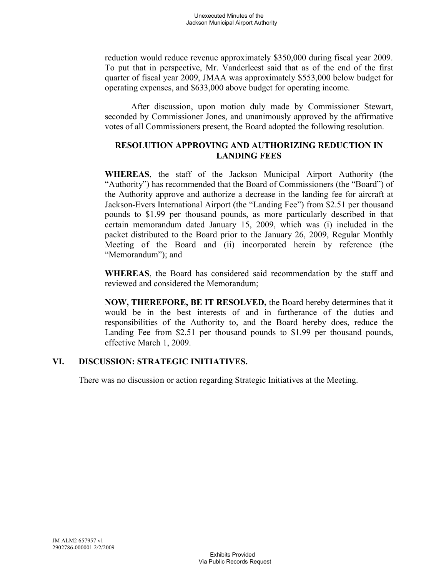reduction would reduce revenue approximately \$350,000 during fiscal year 2009. To put that in perspective, Mr. Vanderleest said that as of the end of the first quarter of fiscal year 2009, JMAA was approximately \$553,000 below budget for operating expenses, and \$633,000 above budget for operating income.

After discussion, upon motion duly made by Commissioner Stewart, seconded by Commissioner Jones, and unanimously approved by the affirmative votes of all Commissioners present, the Board adopted the following resolution.

# **RESOLUTION APPROVING AND AUTHORIZING REDUCTION IN LANDING FEES**

**WHEREAS**, the staff of the Jackson Municipal Airport Authority (the "Authority") has recommended that the Board of Commissioners (the "Board") of the Authority approve and authorize a decrease in the landing fee for aircraft at Jackson-Evers International Airport (the "Landing Fee") from \$2.51 per thousand pounds to \$1.99 per thousand pounds, as more particularly described in that certain memorandum dated January 15, 2009, which was (i) included in the packet distributed to the Board prior to the January 26, 2009, Regular Monthly Meeting of the Board and (ii) incorporated herein by reference (the "Memorandum"); and

**WHEREAS**, the Board has considered said recommendation by the staff and reviewed and considered the Memorandum;

**NOW, THEREFORE, BE IT RESOLVED,** the Board hereby determines that it would be in the best interests of and in furtherance of the duties and responsibilities of the Authority to, and the Board hereby does, reduce the Landing Fee from \$2.51 per thousand pounds to \$1.99 per thousand pounds, effective March 1, 2009.

## **VI. DISCUSSION: STRATEGIC INITIATIVES.**

There was no discussion or action regarding Strategic Initiatives at the Meeting.